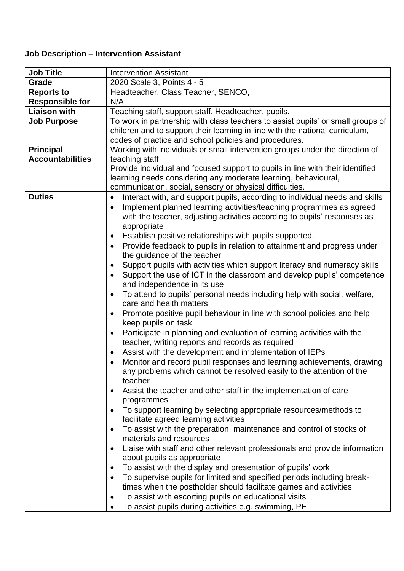## **Job Description – Intervention Assistant**

| <b>Job Title</b>        | <b>Intervention Assistant</b>                                                                                                                                                                                                                                                                                                                                                                                                                                                                                                                                                                                                                                                                                                                                                                                                                                                                                                                                                                                                                                                                                                                                                             |
|-------------------------|-------------------------------------------------------------------------------------------------------------------------------------------------------------------------------------------------------------------------------------------------------------------------------------------------------------------------------------------------------------------------------------------------------------------------------------------------------------------------------------------------------------------------------------------------------------------------------------------------------------------------------------------------------------------------------------------------------------------------------------------------------------------------------------------------------------------------------------------------------------------------------------------------------------------------------------------------------------------------------------------------------------------------------------------------------------------------------------------------------------------------------------------------------------------------------------------|
| Grade                   | 2020 Scale 3, Points 4 - 5                                                                                                                                                                                                                                                                                                                                                                                                                                                                                                                                                                                                                                                                                                                                                                                                                                                                                                                                                                                                                                                                                                                                                                |
| <b>Reports to</b>       | Headteacher, Class Teacher, SENCO,                                                                                                                                                                                                                                                                                                                                                                                                                                                                                                                                                                                                                                                                                                                                                                                                                                                                                                                                                                                                                                                                                                                                                        |
| <b>Responsible for</b>  | N/A                                                                                                                                                                                                                                                                                                                                                                                                                                                                                                                                                                                                                                                                                                                                                                                                                                                                                                                                                                                                                                                                                                                                                                                       |
| <b>Liaison with</b>     | Teaching staff, support staff, Headteacher, pupils.                                                                                                                                                                                                                                                                                                                                                                                                                                                                                                                                                                                                                                                                                                                                                                                                                                                                                                                                                                                                                                                                                                                                       |
| <b>Job Purpose</b>      | To work in partnership with class teachers to assist pupils' or small groups of<br>children and to support their learning in line with the national curriculum,<br>codes of practice and school policies and procedures.                                                                                                                                                                                                                                                                                                                                                                                                                                                                                                                                                                                                                                                                                                                                                                                                                                                                                                                                                                  |
| <b>Principal</b>        | Working with individuals or small intervention groups under the direction of                                                                                                                                                                                                                                                                                                                                                                                                                                                                                                                                                                                                                                                                                                                                                                                                                                                                                                                                                                                                                                                                                                              |
| <b>Accountabilities</b> | teaching staff                                                                                                                                                                                                                                                                                                                                                                                                                                                                                                                                                                                                                                                                                                                                                                                                                                                                                                                                                                                                                                                                                                                                                                            |
|                         | Provide individual and focused support to pupils in line with their identified<br>learning needs considering any moderate learning, behavioural,<br>communication, social, sensory or physical difficulties.                                                                                                                                                                                                                                                                                                                                                                                                                                                                                                                                                                                                                                                                                                                                                                                                                                                                                                                                                                              |
| <b>Duties</b>           | Interact with, and support pupils, according to individual needs and skills<br>$\bullet$<br>Implement planned learning activities/teaching programmes as agreed<br>$\bullet$<br>with the teacher, adjusting activities according to pupils' responses as<br>appropriate<br>Establish positive relationships with pupils supported.<br>$\bullet$<br>Provide feedback to pupils in relation to attainment and progress under<br>$\bullet$<br>the guidance of the teacher<br>Support pupils with activities which support literacy and numeracy skills<br>Support the use of ICT in the classroom and develop pupils' competence<br>$\bullet$<br>and independence in its use<br>To attend to pupils' personal needs including help with social, welfare,<br>$\bullet$<br>care and health matters<br>Promote positive pupil behaviour in line with school policies and help<br>keep pupils on task<br>Participate in planning and evaluation of learning activities with the<br>$\bullet$<br>teacher, writing reports and records as required<br>Assist with the development and implementation of IEPs<br>$\bullet$<br>Monitor and record pupil responses and learning achievements, drawing |
|                         | any problems which cannot be resolved easily to the attention of the<br>teacher<br>Assist the teacher and other staff in the implementation of care<br>programmes                                                                                                                                                                                                                                                                                                                                                                                                                                                                                                                                                                                                                                                                                                                                                                                                                                                                                                                                                                                                                         |
|                         | To support learning by selecting appropriate resources/methods to<br>$\bullet$<br>facilitate agreed learning activities                                                                                                                                                                                                                                                                                                                                                                                                                                                                                                                                                                                                                                                                                                                                                                                                                                                                                                                                                                                                                                                                   |
|                         | To assist with the preparation, maintenance and control of stocks of<br>$\bullet$<br>materials and resources                                                                                                                                                                                                                                                                                                                                                                                                                                                                                                                                                                                                                                                                                                                                                                                                                                                                                                                                                                                                                                                                              |
|                         | Liaise with staff and other relevant professionals and provide information<br>about pupils as appropriate                                                                                                                                                                                                                                                                                                                                                                                                                                                                                                                                                                                                                                                                                                                                                                                                                                                                                                                                                                                                                                                                                 |
|                         | To assist with the display and presentation of pupils' work<br>٠                                                                                                                                                                                                                                                                                                                                                                                                                                                                                                                                                                                                                                                                                                                                                                                                                                                                                                                                                                                                                                                                                                                          |
|                         | To supervise pupils for limited and specified periods including break-<br>$\bullet$                                                                                                                                                                                                                                                                                                                                                                                                                                                                                                                                                                                                                                                                                                                                                                                                                                                                                                                                                                                                                                                                                                       |
|                         | times when the postholder should facilitate games and activities                                                                                                                                                                                                                                                                                                                                                                                                                                                                                                                                                                                                                                                                                                                                                                                                                                                                                                                                                                                                                                                                                                                          |
|                         | To assist with escorting pupils on educational visits                                                                                                                                                                                                                                                                                                                                                                                                                                                                                                                                                                                                                                                                                                                                                                                                                                                                                                                                                                                                                                                                                                                                     |
|                         | To assist pupils during activities e.g. swimming, PE<br>$\bullet$                                                                                                                                                                                                                                                                                                                                                                                                                                                                                                                                                                                                                                                                                                                                                                                                                                                                                                                                                                                                                                                                                                                         |